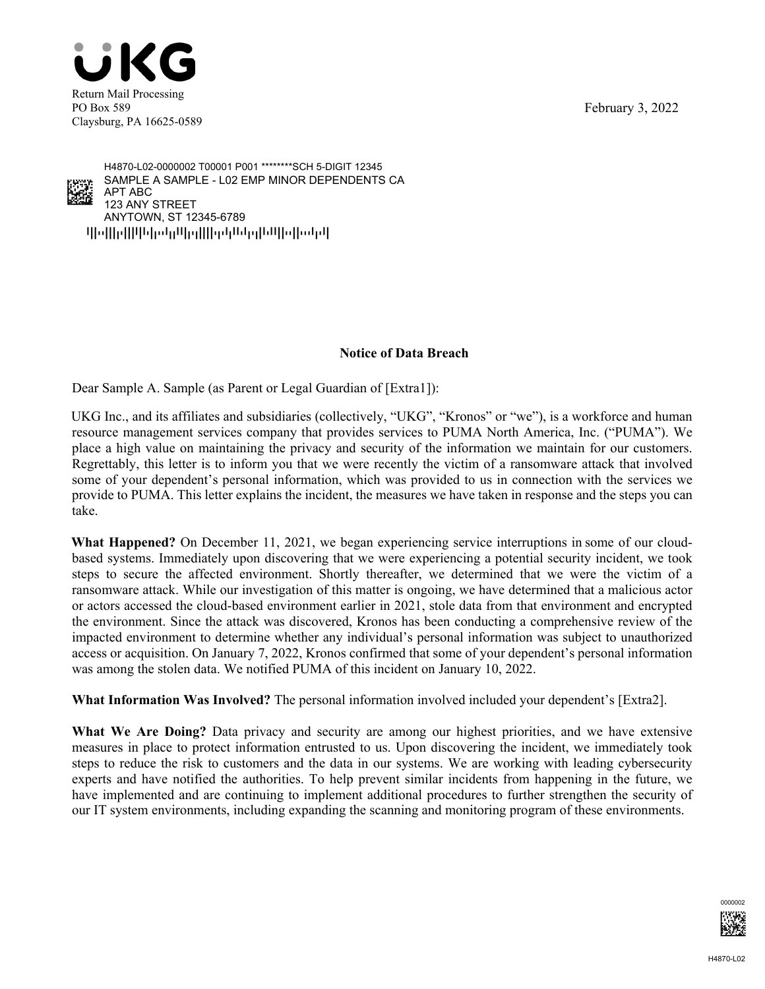February 3, 2022





qpoppqppppopppppppppppppppppppppppp ANYTOWN, ST 12345-6789 123 ANY STREET APT ABC SAMPLE A SAMPLE - L02 EMP MINOR DEPENDENTS CA H4870-L02-0000002 T00001 P001 \*\*\*\*\*\*\*\*SCH 5-DIGIT 12345

## **Notice of Data Breach**

Dear Sample A. Sample (as Parent or Legal Guardian of [Extra1]):

UKG Inc., and its affiliates and subsidiaries (collectively, "UKG", "Kronos" or "we"), is a workforce and human resource management services company that provides services to PUMA North America, Inc. ("PUMA"). We place a high value on maintaining the privacy and security of the information we maintain for our customers. Regrettably, this letter is to inform you that we were recently the victim of a ransomware attack that involved some of your dependent's personal information, which was provided to us in connection with the services we provide to PUMA. This letter explains the incident, the measures we have taken in response and the steps you can take.

**What Happened?** On December 11, 2021, we began experiencing service interruptions in some of our cloudbased systems. Immediately upon discovering that we were experiencing a potential security incident, we took steps to secure the affected environment. Shortly thereafter, we determined that we were the victim of a ransomware attack. While our investigation of this matter is ongoing, we have determined that a malicious actor or actors accessed the cloud-based environment earlier in 2021, stole data from that environment and encrypted the environment. Since the attack was discovered, Kronos has been conducting a comprehensive review of the impacted environment to determine whether any individual's personal information was subject to unauthorized access or acquisition. On January 7, 2022, Kronos confirmed that some of your dependent's personal information was among the stolen data. We notified PUMA of this incident on January 10, 2022.

**What Information Was Involved?** The personal information involved included your dependent's [Extra2].

**What We Are Doing?** Data privacy and security are among our highest priorities, and we have extensive measures in place to protect information entrusted to us. Upon discovering the incident, we immediately took steps to reduce the risk to customers and the data in our systems. We are working with leading cybersecurity experts and have notified the authorities. To help prevent similar incidents from happening in the future, we have implemented and are continuing to implement additional procedures to further strengthen the security of our IT system environments, including expanding the scanning and monitoring program of these environments.

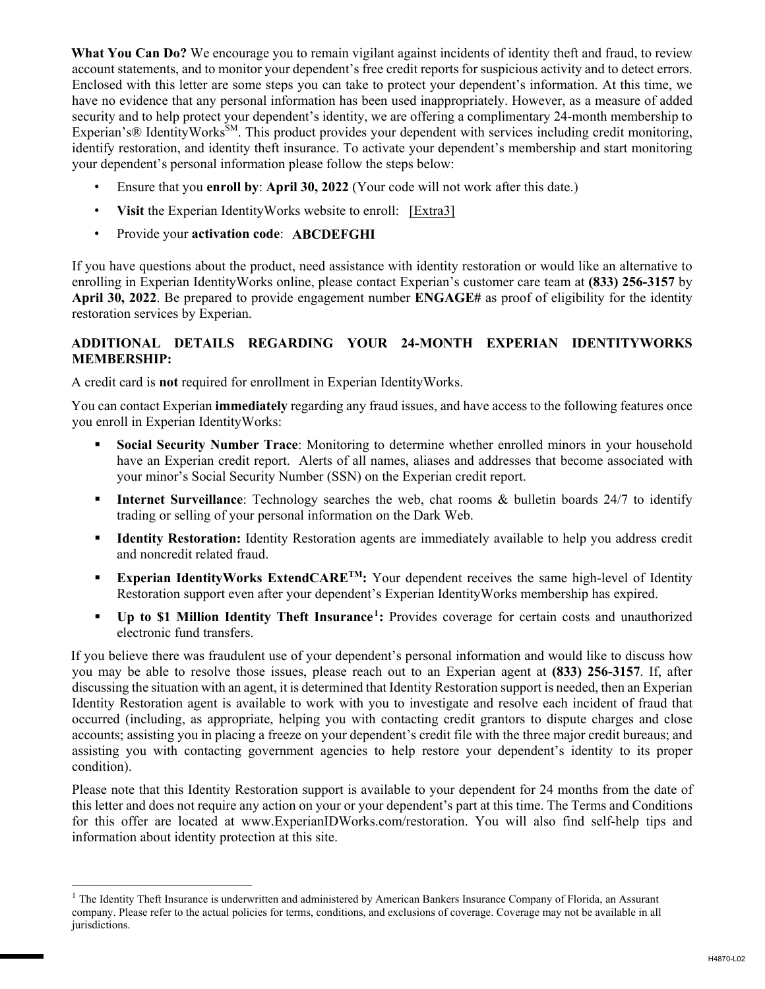**What You Can Do?** We encourage you to remain vigilant against incidents of identity theft and fraud, to review account statements, and to monitor your dependent's free credit reports for suspicious activity and to detect errors. Enclosed with this letter are some steps you can take to protect your dependent's information. At this time, we have no evidence that any personal information has been used inappropriately. However, as a measure of added security and to help protect your dependent's identity, we are offering a complimentary 24-month membership to Experian's® IdentityWorks<sup>SM</sup>. This product provides your dependent with services including credit monitoring, identify restoration, and identity theft insurance. To activate your dependent's membership and start monitoring your dependent's personal information please follow the steps below:

- Ensure that you **enroll by**: **April 30, 2022** (Your code will not work after this date.)
- Visit the Experian Identity Works website to enroll: [Extra3]
- Provide your **activation code**: **ABCDEFGHI**

 $\overline{a}$ 

If you have questions about the product, need assistance with identity restoration or would like an alternative to enrolling in Experian IdentityWorks online, please contact Experian's customer care team at **(833) 256-3157** by **April 30, 2022**. Be prepared to provide engagement number **ENGAGE#** as proof of eligibility for the identity restoration services by Experian.

## **ADDITIONAL DETAILS REGARDING YOUR 24-MONTH EXPERIAN IDENTITYWORKS MEMBERSHIP:**

A credit card is **not** required for enrollment in Experian IdentityWorks.

You can contact Experian **immediately** regarding any fraud issues, and have access to the following features once you enroll in Experian IdentityWorks:

- **Social Security Number Trace**: Monitoring to determine whether enrolled minors in your household have an Experian credit report. Alerts of all names, aliases and addresses that become associated with your minor's Social Security Number (SSN) on the Experian credit report.
- **Internet Surveillance**: Technology searches the web, chat rooms & bulletin boards 24/7 to identify trading or selling of your personal information on the Dark Web.
- **Identity Restoration:** Identity Restoration agents are immediately available to help you address credit and noncredit related fraud.
- **Experian IdentityWorks ExtendCARE<sup>TM</sup>:** Your dependent receives the same high-level of Identity Restoration support even after your dependent's Experian IdentityWorks membership has expired.
- **Up to \$1 Million Identity Theft Insurance<sup>1</sup>:** Provides coverage for certain costs and unauthorized electronic fund transfers.

If you believe there was fraudulent use of your dependent's personal information and would like to discuss how you may be able to resolve those issues, please reach out to an Experian agent at **(833) 256-3157**. If, after discussing the situation with an agent, it is determined that Identity Restoration support is needed, then an Experian Identity Restoration agent is available to work with you to investigate and resolve each incident of fraud that occurred (including, as appropriate, helping you with contacting credit grantors to dispute charges and close accounts; assisting you in placing a freeze on your dependent's credit file with the three major credit bureaus; and assisting you with contacting government agencies to help restore your dependent's identity to its proper condition).

Please note that this Identity Restoration support is available to your dependent for 24 months from the date of this letter and does not require any action on your or your dependent's part at this time. The Terms and Conditions for this offer are located at www.ExperianIDWorks.com/restoration. You will also find self-help tips and information about identity protection at this site.

 $<sup>1</sup>$  The Identity Theft Insurance is underwritten and administered by American Bankers Insurance Company of Florida, an Assurant</sup> company. Please refer to the actual policies for terms, conditions, and exclusions of coverage. Coverage may not be available in all jurisdictions.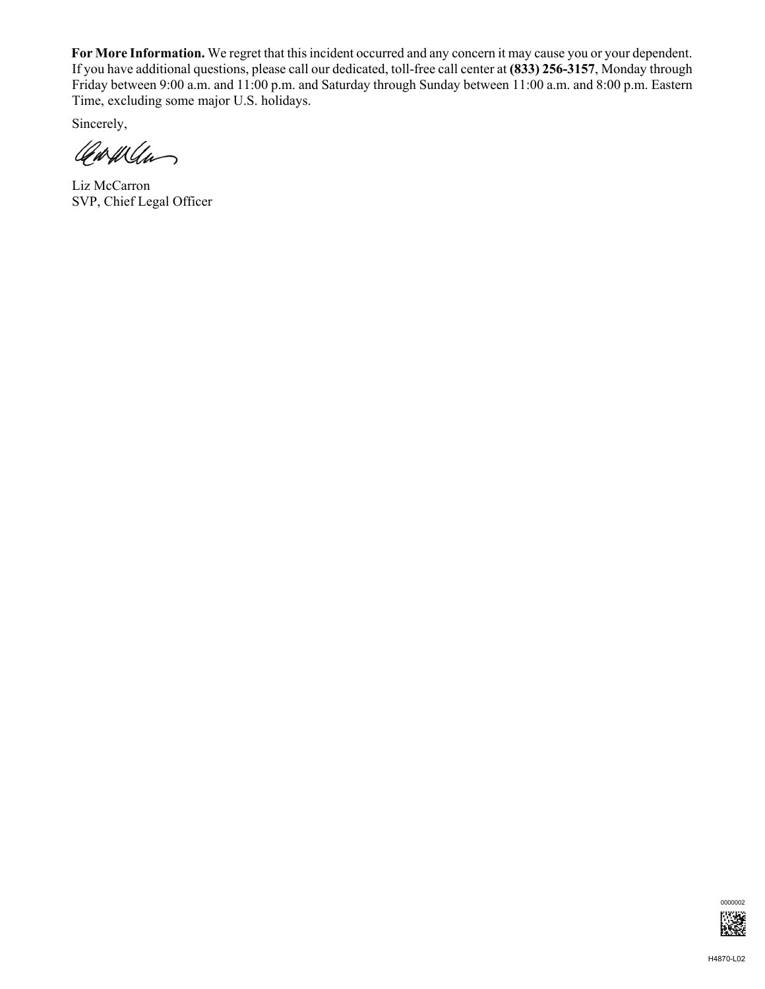**For More Information.** We regret that this incident occurred and any concern it may cause you or your dependent. If you have additional questions, please call our dedicated, toll-free call center at **(833) 256-3157**, Monday through Friday between 9:00 a.m. and 11:00 p.m. and Saturday through Sunday between 11:00 a.m. and 8:00 p.m. Eastern Time, excluding some major U.S. holidays.

Sincerely,

Carway

Liz McCarron SVP, Chief Legal Officer

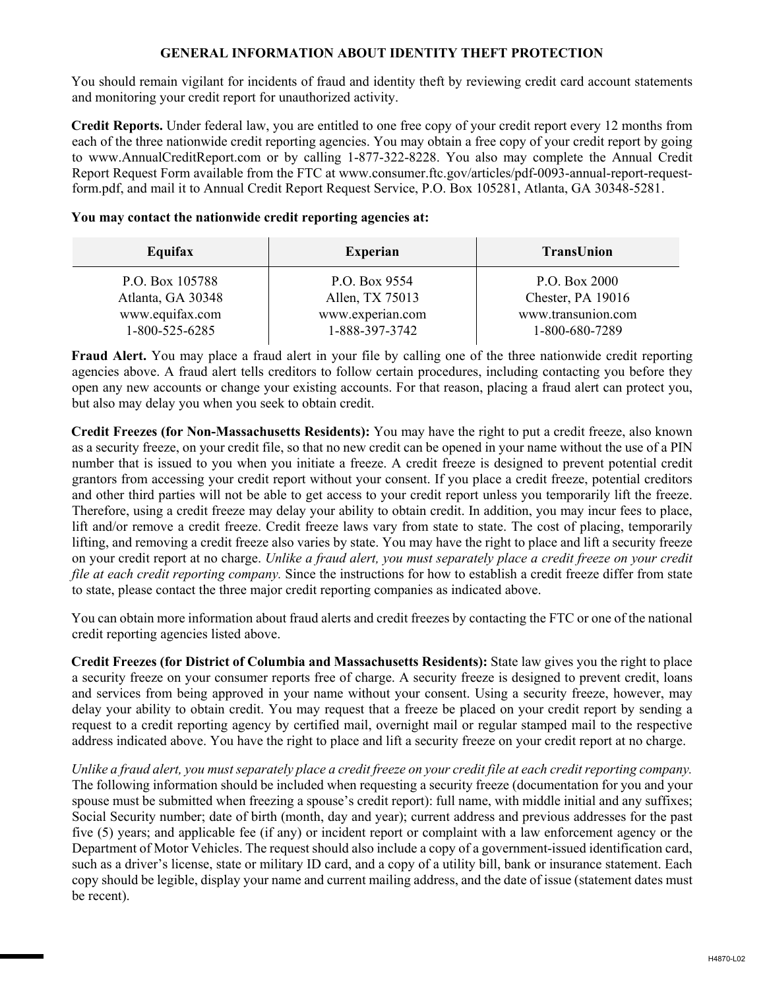## **GENERAL INFORMATION ABOUT IDENTITY THEFT PROTECTION**

You should remain vigilant for incidents of fraud and identity theft by reviewing credit card account statements and monitoring your credit report for unauthorized activity.

**Credit Reports.** Under federal law, you are entitled to one free copy of your credit report every 12 months from each of the three nationwide credit reporting agencies. You may obtain a free copy of your credit report by going to www.AnnualCreditReport.com or by calling 1-877-322-8228. You also may complete the Annual Credit Report Request Form available from the FTC at www.consumer.ftc.gov/articles/pdf-0093-annual-report-requestform.pdf, and mail it to Annual Credit Report Request Service, P.O. Box 105281, Atlanta, GA 30348-5281.

## **You may contact the nationwide credit reporting agencies at:**

| Equifax           | <b>Experian</b>  | <b>TransUnion</b>  |
|-------------------|------------------|--------------------|
| P.O. Box 105788   | P.O. Box 9554    | P.O. Box 2000      |
| Atlanta, GA 30348 | Allen, TX 75013  | Chester, PA 19016  |
| www.equifax.com   | www.experian.com | www.transunion.com |
| 1-800-525-6285    | 1-888-397-3742   | 1-800-680-7289     |

**Fraud Alert.** You may place a fraud alert in your file by calling one of the three nationwide credit reporting agencies above. A fraud alert tells creditors to follow certain procedures, including contacting you before they open any new accounts or change your existing accounts. For that reason, placing a fraud alert can protect you, but also may delay you when you seek to obtain credit.

**Credit Freezes (for Non-Massachusetts Residents):** You may have the right to put a credit freeze, also known as a security freeze, on your credit file, so that no new credit can be opened in your name without the use of a PIN number that is issued to you when you initiate a freeze. A credit freeze is designed to prevent potential credit grantors from accessing your credit report without your consent. If you place a credit freeze, potential creditors and other third parties will not be able to get access to your credit report unless you temporarily lift the freeze. Therefore, using a credit freeze may delay your ability to obtain credit. In addition, you may incur fees to place, lift and/or remove a credit freeze. Credit freeze laws vary from state to state. The cost of placing, temporarily lifting, and removing a credit freeze also varies by state. You may have the right to place and lift a security freeze on your credit report at no charge. *Unlike a fraud alert, you must separately place a credit freeze on your credit file at each credit reporting company.* Since the instructions for how to establish a credit freeze differ from state to state, please contact the three major credit reporting companies as indicated above.

You can obtain more information about fraud alerts and credit freezes by contacting the FTC or one of the national credit reporting agencies listed above.

**Credit Freezes (for District of Columbia and Massachusetts Residents):** State law gives you the right to place a security freeze on your consumer reports free of charge. A security freeze is designed to prevent credit, loans and services from being approved in your name without your consent. Using a security freeze, however, may delay your ability to obtain credit. You may request that a freeze be placed on your credit report by sending a request to a credit reporting agency by certified mail, overnight mail or regular stamped mail to the respective address indicated above. You have the right to place and lift a security freeze on your credit report at no charge.

*Unlike a fraud alert, you must separately place a credit freeze on your credit file at each credit reporting company.*  The following information should be included when requesting a security freeze (documentation for you and your spouse must be submitted when freezing a spouse's credit report): full name, with middle initial and any suffixes; Social Security number; date of birth (month, day and year); current address and previous addresses for the past five (5) years; and applicable fee (if any) or incident report or complaint with a law enforcement agency or the Department of Motor Vehicles. The request should also include a copy of a government-issued identification card, such as a driver's license, state or military ID card, and a copy of a utility bill, bank or insurance statement. Each copy should be legible, display your name and current mailing address, and the date of issue (statement dates must be recent).